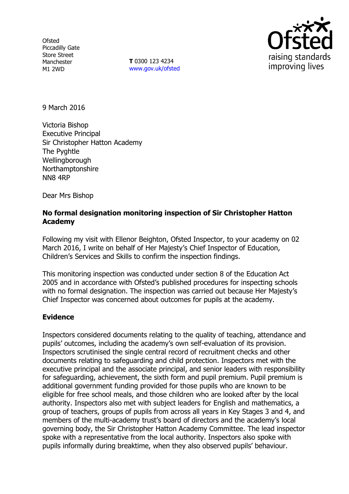**Ofsted** Piccadilly Gate Store Street Manchester M1 2WD

**T** 0300 123 4234 www.gov.uk/ofsted



9 March 2016

Victoria Bishop Executive Principal Sir Christopher Hatton Academy The Pyghtle Wellingborough Northamptonshire NN8 4RP

Dear Mrs Bishop

# **No formal designation monitoring inspection of Sir Christopher Hatton Academy**

Following my visit with Ellenor Beighton, Ofsted Inspector, to your academy on 02 March 2016, I write on behalf of Her Majesty's Chief Inspector of Education, Children's Services and Skills to confirm the inspection findings.

This monitoring inspection was conducted under section 8 of the Education Act 2005 and in accordance with Ofsted's published procedures for inspecting schools with no formal designation. The inspection was carried out because Her Majesty's Chief Inspector was concerned about outcomes for pupils at the academy.

### **Evidence**

Inspectors considered documents relating to the quality of teaching, attendance and pupils' outcomes, including the academy's own self-evaluation of its provision. Inspectors scrutinised the single central record of recruitment checks and other documents relating to safeguarding and child protection. Inspectors met with the executive principal and the associate principal, and senior leaders with responsibility for safeguarding, achievement, the sixth form and pupil premium. Pupil premium is additional government funding provided for those pupils who are known to be eligible for free school meals, and those children who are looked after by the local authority. Inspectors also met with subject leaders for English and mathematics, a group of teachers, groups of pupils from across all years in Key Stages 3 and 4, and members of the multi-academy trust's board of directors and the academy's local governing body, the Sir Christopher Hatton Academy Committee. The lead inspector spoke with a representative from the local authority. Inspectors also spoke with pupils informally during breaktime, when they also observed pupils' behaviour.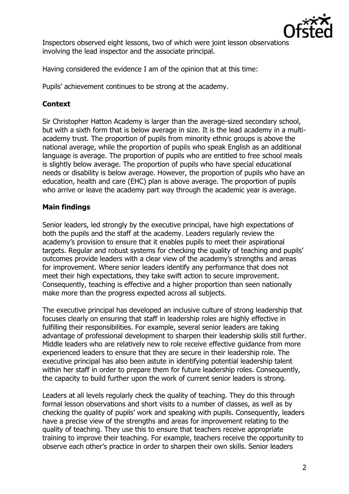

Inspectors observed eight lessons, two of which were joint lesson observations involving the lead inspector and the associate principal.

Having considered the evidence I am of the opinion that at this time:

Pupils' achievement continues to be strong at the academy.

## **Context**

Sir Christopher Hatton Academy is larger than the average-sized secondary school, but with a sixth form that is below average in size. It is the lead academy in a multiacademy trust. The proportion of pupils from minority ethnic groups is above the national average, while the proportion of pupils who speak English as an additional language is average. The proportion of pupils who are entitled to free school meals is slightly below average. The proportion of pupils who have special educational needs or disability is below average. However, the proportion of pupils who have an education, health and care (EHC) plan is above average. The proportion of pupils who arrive or leave the academy part way through the academic year is average.

### **Main findings**

Senior leaders, led strongly by the executive principal, have high expectations of both the pupils and the staff at the academy. Leaders regularly review the academy's provision to ensure that it enables pupils to meet their aspirational targets. Regular and robust systems for checking the quality of teaching and pupils' outcomes provide leaders with a clear view of the academy's strengths and areas for improvement. Where senior leaders identify any performance that does not meet their high expectations, they take swift action to secure improvement. Consequently, teaching is effective and a higher proportion than seen nationally make more than the progress expected across all subjects.

The executive principal has developed an inclusive culture of strong leadership that focuses clearly on ensuring that staff in leadership roles are highly effective in fulfilling their responsibilities. For example, several senior leaders are taking advantage of professional development to sharpen their leadership skills still further. Middle leaders who are relatively new to role receive effective guidance from more experienced leaders to ensure that they are secure in their leadership role. The executive principal has also been astute in identifying potential leadership talent within her staff in order to prepare them for future leadership roles. Consequently, the capacity to build further upon the work of current senior leaders is strong.

Leaders at all levels regularly check the quality of teaching. They do this through formal lesson observations and short visits to a number of classes, as well as by checking the quality of pupils' work and speaking with pupils. Consequently, leaders have a precise view of the strengths and areas for improvement relating to the quality of teaching. They use this to ensure that teachers receive appropriate training to improve their teaching. For example, teachers receive the opportunity to observe each other's practice in order to sharpen their own skills. Senior leaders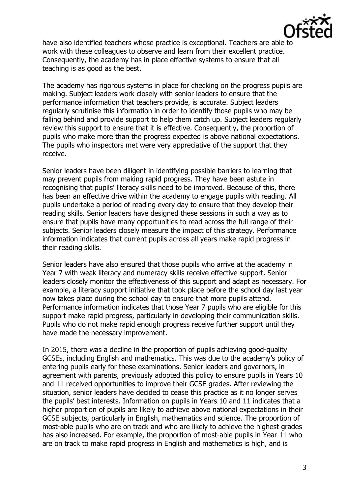

have also identified teachers whose practice is exceptional. Teachers are able to work with these colleagues to observe and learn from their excellent practice. Consequently, the academy has in place effective systems to ensure that all teaching is as good as the best.

The academy has rigorous systems in place for checking on the progress pupils are making. Subject leaders work closely with senior leaders to ensure that the performance information that teachers provide, is accurate. Subject leaders regularly scrutinise this information in order to identify those pupils who may be falling behind and provide support to help them catch up. Subject leaders regularly review this support to ensure that it is effective. Consequently, the proportion of pupils who make more than the progress expected is above national expectations. The pupils who inspectors met were very appreciative of the support that they receive.

Senior leaders have been diligent in identifying possible barriers to learning that may prevent pupils from making rapid progress. They have been astute in recognising that pupils' literacy skills need to be improved. Because of this, there has been an effective drive within the academy to engage pupils with reading. All pupils undertake a period of reading every day to ensure that they develop their reading skills. Senior leaders have designed these sessions in such a way as to ensure that pupils have many opportunities to read across the full range of their subjects. Senior leaders closely measure the impact of this strategy. Performance information indicates that current pupils across all years make rapid progress in their reading skills.

Senior leaders have also ensured that those pupils who arrive at the academy in Year 7 with weak literacy and numeracy skills receive effective support. Senior leaders closely monitor the effectiveness of this support and adapt as necessary. For example, a literacy support initiative that took place before the school day last year now takes place during the school day to ensure that more pupils attend. Performance information indicates that those Year 7 pupils who are eligible for this support make rapid progress, particularly in developing their communication skills. Pupils who do not make rapid enough progress receive further support until they have made the necessary improvement.

In 2015, there was a decline in the proportion of pupils achieving good-quality GCSEs, including English and mathematics. This was due to the academy's policy of entering pupils early for these examinations. Senior leaders and governors, in agreement with parents, previously adopted this policy to ensure pupils in Years 10 and 11 received opportunities to improve their GCSE grades. After reviewing the situation, senior leaders have decided to cease this practice as it no longer serves the pupils' best interests. Information on pupils in Years 10 and 11 indicates that a higher proportion of pupils are likely to achieve above national expectations in their GCSE subjects, particularly in English, mathematics and science. The proportion of most-able pupils who are on track and who are likely to achieve the highest grades has also increased. For example, the proportion of most-able pupils in Year 11 who are on track to make rapid progress in English and mathematics is high, and is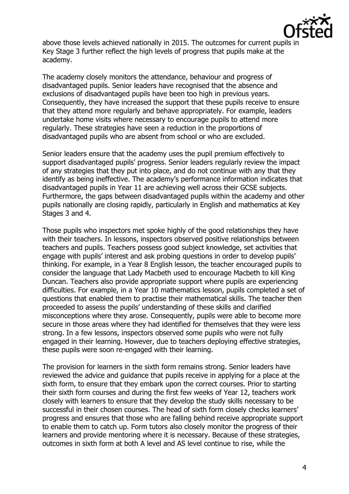

above those levels achieved nationally in 2015. The outcomes for current pupils in Key Stage 3 further reflect the high levels of progress that pupils make at the academy.

The academy closely monitors the attendance, behaviour and progress of disadvantaged pupils. Senior leaders have recognised that the absence and exclusions of disadvantaged pupils have been too high in previous years. Consequently, they have increased the support that these pupils receive to ensure that they attend more regularly and behave appropriately. For example, leaders undertake home visits where necessary to encourage pupils to attend more regularly. These strategies have seen a reduction in the proportions of disadvantaged pupils who are absent from school or who are excluded.

Senior leaders ensure that the academy uses the pupil premium effectively to support disadvantaged pupils' progress. Senior leaders regularly review the impact of any strategies that they put into place, and do not continue with any that they identify as being ineffective. The academy's performance information indicates that disadvantaged pupils in Year 11 are achieving well across their GCSE subjects. Furthermore, the gaps between disadvantaged pupils within the academy and other pupils nationally are closing rapidly, particularly in English and mathematics at Key Stages 3 and 4.

Those pupils who inspectors met spoke highly of the good relationships they have with their teachers. In lessons, inspectors observed positive relationships between teachers and pupils. Teachers possess good subject knowledge, set activities that engage with pupils' interest and ask probing questions in order to develop pupils' thinking. For example, in a Year 8 English lesson, the teacher encouraged pupils to consider the language that Lady Macbeth used to encourage Macbeth to kill King Duncan. Teachers also provide appropriate support where pupils are experiencing difficulties. For example, in a Year 10 mathematics lesson, pupils completed a set of questions that enabled them to practise their mathematical skills. The teacher then proceeded to assess the pupils' understanding of these skills and clarified misconceptions where they arose. Consequently, pupils were able to become more secure in those areas where they had identified for themselves that they were less strong. In a few lessons, inspectors observed some pupils who were not fully engaged in their learning. However, due to teachers deploying effective strategies, these pupils were soon re-engaged with their learning.

The provision for learners in the sixth form remains strong. Senior leaders have reviewed the advice and guidance that pupils receive in applying for a place at the sixth form, to ensure that they embark upon the correct courses. Prior to starting their sixth form courses and during the first few weeks of Year 12, teachers work closely with learners to ensure that they develop the study skills necessary to be successful in their chosen courses. The head of sixth form closely checks learners' progress and ensures that those who are falling behind receive appropriate support to enable them to catch up. Form tutors also closely monitor the progress of their learners and provide mentoring where it is necessary. Because of these strategies, outcomes in sixth form at both A level and AS level continue to rise, while the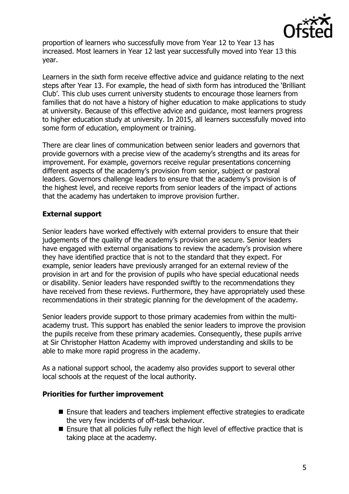

proportion of learners who successfully move from Year 12 to Year 13 has increased. Most learners in Year 12 last year successfully moved into Year 13 this year.

Learners in the sixth form receive effective advice and guidance relating to the next steps after Year 13. For example, the head of sixth form has introduced the 'Brilliant Club'. This club uses current university students to encourage those learners from families that do not have a history of higher education to make applications to study at university. Because of this effective advice and guidance, most learners progress to higher education study at university. In 2015, all learners successfully moved into some form of education, employment or training.

There are clear lines of communication between senior leaders and governors that provide governors with a precise view of the academy's strengths and its areas for improvement. For example, governors receive regular presentations concerning different aspects of the academy's provision from senior, subject or pastoral leaders. Governors challenge leaders to ensure that the academy's provision is of the highest level, and receive reports from senior leaders of the impact of actions that the academy has undertaken to improve provision further.

# **External support**

Senior leaders have worked effectively with external providers to ensure that their judgements of the quality of the academy's provision are secure. Senior leaders have engaged with external organisations to review the academy's provision where they have identified practice that is not to the standard that they expect. For example, senior leaders have previously arranged for an external review of the provision in art and for the provision of pupils who have special educational needs or disability. Senior leaders have responded swiftly to the recommendations they have received from these reviews. Furthermore, they have appropriately used these recommendations in their strategic planning for the development of the academy.

Senior leaders provide support to those primary academies from within the multiacademy trust. This support has enabled the senior leaders to improve the provision the pupils receive from these primary academies. Consequently, these pupils arrive at Sir Christopher Hatton Academy with improved understanding and skills to be able to make more rapid progress in the academy.

As a national support school, the academy also provides support to several other local schools at the request of the local authority.

#### **Priorities for further improvement**

- Ensure that leaders and teachers implement effective strategies to eradicate the very few incidents of off-task behaviour.
- Ensure that all policies fully reflect the high level of effective practice that is taking place at the academy.